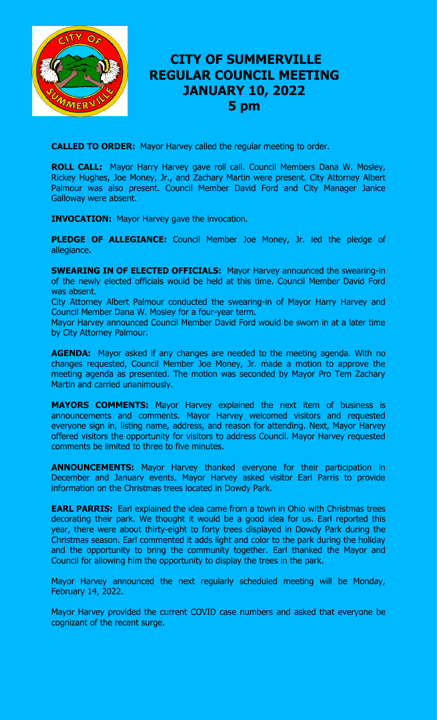

# **CITY OF SUMMERVILLE REGULAR COUNCIL MEETING JANUARY 10, 2022 5 pm**

**CALLED TO ORDER:** Mayor Harvey called the regular meeting to order.

**ROLL CALL:** Mayor Harry Harvey gave roll call. Council Members Dana W. Mosley, Rickey Hughes, Joe Money, Jr., and Zachary Martin were present. City Attorney Albert Palmour was also present. Council Member David Ford and City Manager Janice Galloway were absent.

**INVOCATION:** Mayor Harvey gave the invocation.

**PLEDGE OF ALLEGIANCE:** Council Member Joe Money, Jr. led the pledge of allegiance.

**SWEARING IN OF ELECTED OFFICIALS:** Mayor Harvey announced the swearing-in of the newly elected officials would be held at this time. Council Member David Ford was absent.

City Attorney Albert Palmour conducted the swearing-in of Mayor Harry Harvey and Council Member Dana W. Mosley for a four-year term.

Mayor Harvey announced Council Member David Ford would be sworn in at a later time by City Attorney Palmour.

**AGENDA:** Mayor asked if any changes are needed to the meeting agenda. With no changes requested, Council Member Joe Money, Jr. made a motion to approve the meeting agenda as presented. The motion was seconded by Mayor Pro Tem Zachary Martin and carried unanimously.

**MAYORS COMMENTS:** Mayor Harvey explained the next item of business is announcements and comments. Mayor Harvey welcomed visitors and requested everyone sign in, listing name, address, and reason for attending. Next, Mayor Harvey offered visitors the opportunity for visitors to address Council. Mayor Harvey requested comments be limited to three to five minutes.

**ANNOUNCEMENTS:** Mayor Harvey thanked everyone for their participation in December and January events. Mayor Harvey asked visitor Earl Parris to provide information on the Christmas trees located in Dowdy Park.

**EARL PARRIS:** Earl explained the idea came from a town in Ohio with Christmas trees decorating their park. We thought it would be a good idea for us. Earl reported this year, there were about thirty-eight to forty trees displayed in Dowdy Park during the Christmas season. Earl commented it adds light and color to the park during the holiday and the opportunity to bring the community together. Earl thanked the Mayor and Council for allowing him the opportunity to display the trees in the park.

Mayor Harvey announced the next regularly scheduled meeting will be Monday, February 14, 2022.

Mayor Harvey provided the current COVID case numbers and asked that everyone be cognizant of the recent surge.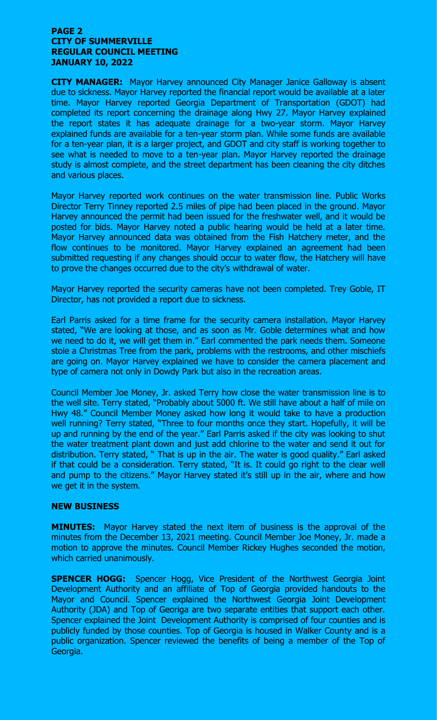### **PAGE 2 CITY OF SUMMERVILLE REGULAR COUNCIL MEETING JANUARY 10, 2022**

**CITY MANAGER:** Mayor Harvey announced City Manager Janice Galloway is absent due to sickness. Mayor Harvey reported the financial report would be available at a later time. Mayor Harvey reported Georgia Department of Transportation (GDOT) had completed its report concerning the drainage along Hwy 27. Mayor Harvey explained the report states it has adequate drainage for a two-year storm. Mayor Harvey explained funds are available for a ten-year storm plan. While some funds are available for a ten-year plan, it is a larger project, and GDOT and city staff is working together to see what is needed to move to a ten-year plan. Mayor Harvey reported the drainage study is almost complete, and the street department has been cleaning the city ditches and various places.

Mayor Harvey reported work continues on the water transmission line. Public Works Director Terry Tinney reported 2.5 miles of pipe had been placed in the ground. Mayor Harvey announced the permit had been issued for the freshwater well, and it would be posted for bids. Mayor Harvey noted a public hearing would be held at a later time. Mayor Harvey announced data was obtained from the Fish Hatchery meter, and the flow continues to be monitored. Mayor Harvey explained an agreement had been submitted requesting if any changes should occur to water flow, the Hatchery will have to prove the changes occurred due to the city's withdrawal of water.

Mayor Harvey reported the security cameras have not been completed. Trey Goble, IT Director, has not provided a report due to sickness.

Earl Parris asked for a time frame for the security camera installation. Mayor Harvey stated, "We are looking at those, and as soon as Mr. Goble determines what and how we need to do it, we will get them in." Earl commented the park needs them. Someone stole a Christmas Tree from the park, problems with the restrooms, and other mischiefs are going on. Mayor Harvey explained we have to consider the camera placement and type of camera not only in Dowdy Park but also in the recreation areas.

Council Member Joe Money, Jr. asked Terry how close the water transmission line is to the well site. Terry stated, "Probably about 5000 ft. We still have about a half of mile on Hwy 48." Council Member Money asked how long it would take to have a production well running? Terry stated, "Three to four months once they start. Hopefully, it will be up and running by the end of the year." Earl Parris asked if the city was looking to shut the water treatment plant down and just add chlorine to the water and send it out for distribution. Terry stated, " That is up in the air. The water is good quality." Earl asked if that could be a consideration. Terry stated, "It is. It could go right to the clear well and pump to the citizens." Mayor Harvey stated it's still up in the air, where and how we get it in the system.

#### **NEW BUSINESS**

**MINUTES:** Mayor Harvey stated the next item of business is the approval of the minutes from the December 13, 2021 meeting. Council Member Joe Money, Jr. made a motion to approve the minutes. Council Member Rickey Hughes seconded the motion, which carried unanimously.

**SPENCER HOGG:** Spencer Hogg, Vice President of the Northwest Georgia Joint Development Authority and an affiliate of Top of Georgia provided handouts to the Mayor and Council. Spencer explained the Northwest Georgia Joint Development Authority (JDA) and Top of Georiga are two separate entities that support each other. Spencer explained the Joint Development Authority is comprised of four counties and is publicly funded by those counties. Top of Georgia is housed in Walker County and is a public organization. Spencer reviewed the benefits of being a member of the Top of Georgia.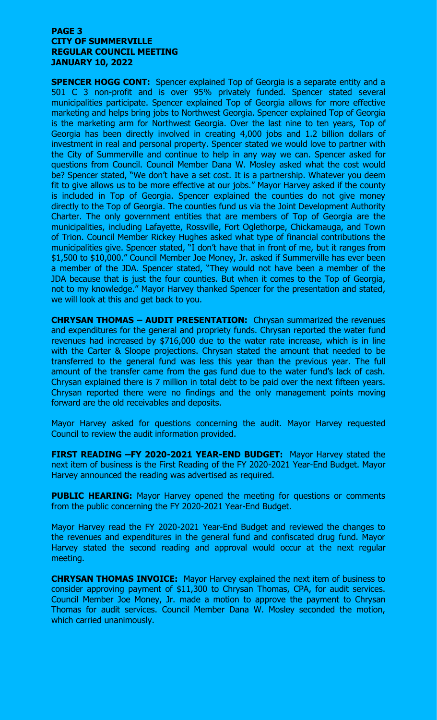### **PAGE 3 CITY OF SUMMERVILLE REGULAR COUNCIL MEETING JANUARY 10, 2022**

**SPENCER HOGG CONT:** Spencer explained Top of Georgia is a separate entity and a 501 C 3 non-profit and is over 95% privately funded. Spencer stated several municipalities participate. Spencer explained Top of Georgia allows for more effective marketing and helps bring jobs to Northwest Georgia. Spencer explained Top of Georgia is the marketing arm for Northwest Georgia. Over the last nine to ten years, Top of Georgia has been directly involved in creating 4,000 jobs and 1.2 billion dollars of investment in real and personal property. Spencer stated we would love to partner with the City of Summerville and continue to help in any way we can. Spencer asked for questions from Council. Council Member Dana W. Mosley asked what the cost would be? Spencer stated, "We don't have a set cost. It is a partnership. Whatever you deem fit to give allows us to be more effective at our jobs." Mayor Harvey asked if the county is included in Top of Georgia. Spencer explained the counties do not give money directly to the Top of Georgia. The counties fund us via the Joint Development Authority Charter. The only government entities that are members of Top of Georgia are the municipalities, including Lafayette, Rossville, Fort Oglethorpe, Chickamauga, and Town of Trion. Council Member Rickey Hughes asked what type of financial contributions the municipalities give. Spencer stated, "I don't have that in front of me, but it ranges from \$1,500 to \$10,000." Council Member Joe Money, Jr. asked if Summerville has ever been  $\alpha$  member of the JDA. Spencer stated, "They would not have been a member of the JDA because that is just the four counties. But when it comes to the Top of Georgia, not to my knowledge." Mayor Harvey thanked Spencer for the presentation and stated, we will look at this and get back to you.

**CHRYSAN THOMAS – AUDIT PRESENTATION:** Chrysan summarized the revenues and expenditures for the general and propriety funds. Chrysan reported the water fund revenues had increased by \$716,000 due to the water rate increase, which is in line with the Carter & Sloope projections. Chrysan stated the amount that needed to be transferred to the general fund was less this year than the previous year. The full amount of the transfer came from the gas fund due to the water fund's lack of cash. Chrysan explained there is 7 million in total debt to be paid over the next fifteen years. Chrysan reported there were no findings and the only management points moving forward are the old receivables and deposits.

Mayor Harvey asked for questions concerning the audit. Mayor Harvey requested Council to review the audit information provided.

**FIRST READING –FY 2020-2021 YEAR-END BUDGET:** Mayor Harvey stated the next item of business is the First Reading of the FY 2020-2021 Year-End Budget. Mayor Harvey announced the reading was advertised as required.

**PUBLIC HEARING:** Mayor Harvey opened the meeting for questions or comments from the public concerning the FY 2020-2021 Year-End Budget.

Mayor Harvey read the FY 2020-2021 Year-End Budget and reviewed the changes to the revenues and expenditures in the general fund and confiscated drug fund. Mayor Harvey stated the second reading and approval would occur at the next regular meeting.

**CHRYSAN THOMAS INVOICE:** Mayor Harvey explained the next item of business to consider approving payment of \$11,300 to Chrysan Thomas, CPA, for audit services. Council Member Joe Money, Jr. made a motion to approve the payment to Chrysan Thomas for audit services. Council Member Dana W. Mosley seconded the motion, which carried unanimously.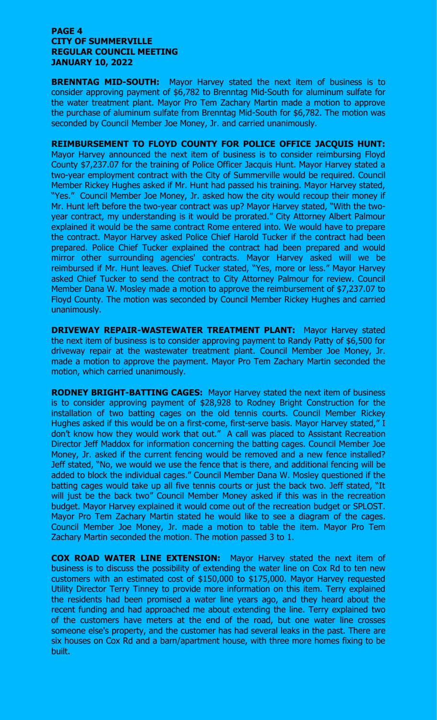### **PAGE 4 CITY OF SUMMERVILLE REGULAR COUNCIL MEETING JANUARY 10, 2022**

**BRENNTAG MID-SOUTH:** Mayor Harvey stated the next item of business is to consider approving payment of \$6,782 to Brenntag Mid-South for aluminum sulfate for the water treatment plant. Mayor Pro Tem Zachary Martin made a motion to approve the purchase of aluminum sulfate from Brenntag Mid-South for \$6,782. The motion was seconded by Council Member Joe Money, Jr. and carried unanimously.

**REIMBURSEMENT TO FLOYD COUNTY FOR POLICE OFFICE JACQUIS HUNT:** Mayor Harvey announced the next item of business is to consider reimbursing Floyd County \$7,237.07 for the training of Police Officer Jacquis Hunt. Mayor Harvey stated a two-year employment contract with the City of Summerville would be required. Council Member Rickey Hughes asked if Mr. Hunt had passed his training. Mayor Harvey stated, "Yes." Council Member Joe Money, Jr. asked how the city would recoup their money if Mr. Hunt left before the two-year contract was up? Mayor Harvey stated, "With the twoyear contract, my understanding is it would be prorated." City Attorney Albert Palmour explained it would be the same contract Rome entered into. We would have to prepare the contract. Mayor Harvey asked Police Chief Harold Tucker if the contract had been prepared. Police Chief Tucker explained the contract had been prepared and would mirror other surrounding agencies' contracts. Mayor Harvey asked will we be reimbursed if Mr. Hunt leaves. Chief Tucker stated, "Yes, more or less." Mayor Harvey asked Chief Tucker to send the contract to City Attorney Palmour for review. Council Member Dana W. Mosley made a motion to approve the reimbursement of \$7,237.07 to Floyd County. The motion was seconded by Council Member Rickey Hughes and carried unanimously.

**DRIVEWAY REPAIR-WASTEWATER TREATMENT PLANT:** Mayor Harvey stated the next item of business is to consider approving payment to Randy Patty of \$6,500 for driveway repair at the wastewater treatment plant. Council Member Joe Money, Jr. made a motion to approve the payment. Mayor Pro Tem Zachary Martin seconded the motion, which carried unanimously.

**RODNEY BRIGHT-BATTING CAGES:** Mayor Harvey stated the next item of business is to consider approving payment of \$28,928 to Rodney Bright Construction for the installation of two batting cages on the old tennis courts. Council Member Rickey Hughes asked if this would be on a first-come, first-serve basis. Mayor Harvey stated," I don't know how they would work that out." A call was placed to Assistant Recreation Director Jeff Maddox for information concerning the batting cages. Council Member Joe Money, Jr. asked if the current fencing would be removed and a new fence installed? Jeff stated, "No, we would we use the fence that is there, and additional fencing will be added to block the individual cages." Council Member Dana W. Mosley questioned if the batting cages would take up all five tennis courts or just the back two. Jeff stated, "It will just be the back two" Council Member Money asked if this was in the recreation budget. Mayor Harvey explained it would come out of the recreation budget or SPLOST. Mayor Pro Tem Zachary Martin stated he would like to see a diagram of the cages. Council Member Joe Money, Jr. made a motion to table the item. Mayor Pro Tem Zachary Martin seconded the motion. The motion passed 3 to 1.

**COX ROAD WATER LINE EXTENSION:** Mayor Harvey stated the next item of business is to discuss the possibility of extending the water line on Cox Rd to ten new customers with an estimated cost of \$150,000 to \$175,000. Mayor Harvey requested Utility Director Terry Tinney to provide more information on this item. Terry explained the residents had been promised a water line years ago, and they heard about the recent funding and had approached me about extending the line. Terry explained two of the customers have meters at the end of the road, but one water line crosses someone else's property, and the customer has had several leaks in the past. There are six houses on Cox Rd and a barn/apartment house, with three more homes fixing to be built.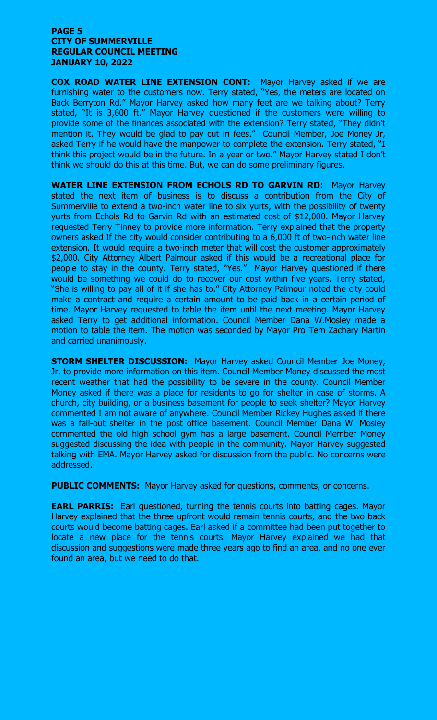### **PAGE 5 CITY OF SUMMERVILLE REGULAR COUNCIL MEETING JANUARY 10, 2022**

**COX ROAD WATER LINE EXTENSION CONT:** Mayor Harvey asked if we are furnishing water to the customers now. Terry stated, "Yes, the meters are located on Back Berryton Rd." Mayor Harvey asked how many feet are we talking about? Terry stated, "It is 3,600 ft." Mayor Harvey questioned if the customers were willing to provide some of the finances associated with the extension? Terry stated, "They didn't mention it. They would be glad to pay cut in fees." Council Member, Joe Money Jr, asked Terry if he would have the manpower to complete the extension. Terry stated, "I think this project would be in the future. In a year or two." Mayor Harvey stated I don't think we should do this at this time. But, we can do some preliminary figures.

**WATER LINE EXTENSION FROM ECHOLS RD TO GARVIN RD: Mayor Harvey** stated the next item of business is to discuss a contribution from the City of Summerville to extend a two-inch water line to six yurts, with the possibility of twenty yurts from Echols Rd to Garvin Rd with an estimated cost of \$12,000. Mayor Harvey requested Terry Tinney to provide more information. Terry explained that the property owners asked If the city would consider contributing to a 6,000 ft of two-inch water line extension. It would require a two-inch meter that will cost the customer approximately \$2,000. City Attorney Albert Palmour asked if this would be a recreational place for people to stay in the county. Terry stated, "Yes." Mayor Harvey questioned if there would be something we could do to recover our cost within five years. Terry stated, "She is willing to pay all of it if she has to." City Attorney Palmour noted the city could make a contract and require a certain amount to be paid back in a certain period of time. Mayor Harvey requested to table the item until the next meeting. Mayor Harvey asked Terry to get additional information. Council Member Dana W.Mosley made a motion to table the item. The motion was seconded by Mayor Pro Tem Zachary Martin and carried unanimously.

**STORM SHELTER DISCUSSION:** Mayor Harvey asked Council Member Joe Money, Jr. to provide more information on this item. Council Member Money discussed the most recent weather that had the possibility to be severe in the county. Council Member Money asked if there was a place for residents to go for shelter in case of storms. A church, city building, or a business basement for people to seek shelter? Mayor Harvey commented I am not aware of anywhere. Council Member Rickey Hughes asked if there was a fall-out shelter in the post office basement. Council Member Dana W. Mosley commented the old high school gym has a large basement. Council Member Money suggested discussing the idea with people in the community. Mayor Harvey suggested talking with EMA. Mayor Harvey asked for discussion from the public. No concerns were addressed.

**PUBLIC COMMENTS:** Mayor Harvey asked for questions, comments, or concerns.

**EARL PARRIS:** Earl questioned, turning the tennis courts into batting cages. Mayor Harvey explained that the three upfront would remain tennis courts, and the two back courts would become batting cages. Earl asked if a committee had been put together to locate a new place for the tennis courts. Mayor Harvey explained we had that discussion and suggestions were made three years ago to find an area, and no one ever found an area, but we need to do that.